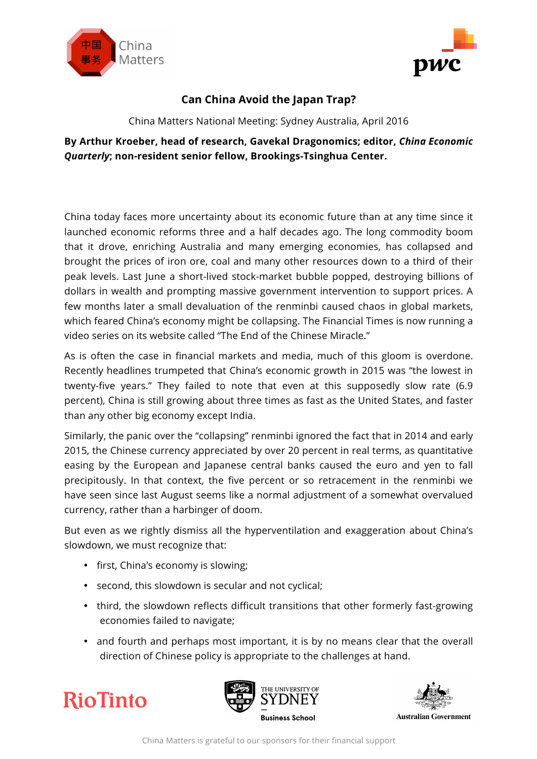



## **Can China Avoid the Japan Trap?**

China Matters National Meeting: Sydney Australia, April 2016

## **By Arthur Kroeber, head of research, Gavekal Dragonomics; editor,** *China Economic Quarterly***; non-resident senior fellow, Brookings-Tsinghua Center.**

China today faces more uncertainty about its economic future than at any time since it launched economic reforms three and a half decades ago. The long commodity boom that it drove, enriching Australia and many emerging economies, has collapsed and brought the prices of iron ore, coal and many other resources down to a third of their peak levels. Last June a short-lived stock-market bubble popped, destroying billions of dollars in wealth and prompting massive government intervention to support prices. A few months later a small devaluation of the renminbi caused chaos in global markets, which feared China's economy might be collapsing. The Financial Times is now running a video series on its website called "The End of the Chinese Miracle."

As is often the case in financial markets and media, much of this gloom is overdone. Recently headlines trumpeted that China's economic growth in 2015 was "the lowest in twenty-five years." They failed to note that even at this supposedly slow rate (6.9 percent), China is still growing about three times as fast as the United States, and faster than any other big economy except India.

Similarly, the panic over the "collapsing" renminbi ignored the fact that in 2014 and early 2015, the Chinese currency appreciated by over 20 percent in real terms, as quantitative easing by the European and Japanese central banks caused the euro and yen to fall precipitously. In that context, the five percent or so retracement in the renminbi we have seen since last August seems like a normal adjustment of a somewhat overvalued currency, rather than a harbinger of doom.

But even as we rightly dismiss all the hyperventilation and exaggeration about China's slowdown, we must recognize that:

- first, China's economy is slowing;
- second, this slowdown is secular and not cyclical;
- third, the slowdown reflects difficult transitions that other formerly fast-growing economies failed to navigate;
- and fourth and perhaps most important, it is by no means clear that the overall direction of Chinese policy is appropriate to the challenges at hand.

**RioTinto** 





China Matters is grateful to our sponsors for their financial support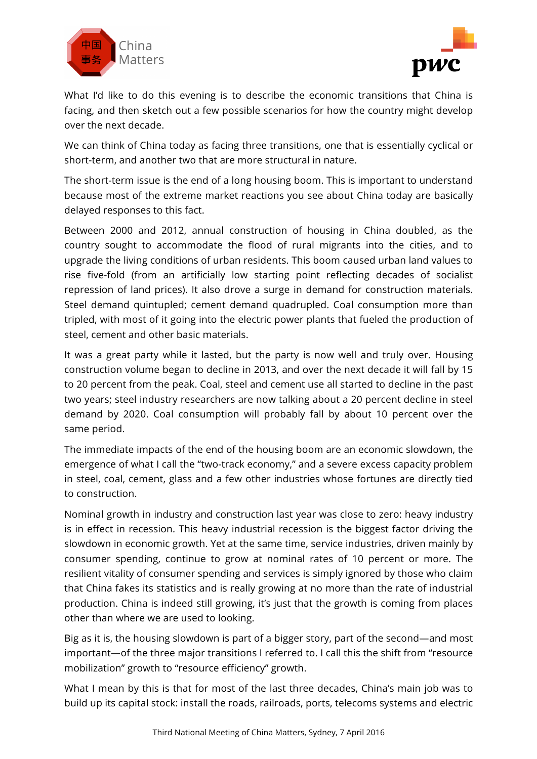



What I'd like to do this evening is to describe the economic transitions that China is facing, and then sketch out a few possible scenarios for how the country might develop over the next decade.

We can think of China today as facing three transitions, one that is essentially cyclical or short-term, and another two that are more structural in nature.

The short-term issue is the end of a long housing boom. This is important to understand because most of the extreme market reactions you see about China today are basically delayed responses to this fact.

Between 2000 and 2012, annual construction of housing in China doubled, as the country sought to accommodate the flood of rural migrants into the cities, and to upgrade the living conditions of urban residents. This boom caused urban land values to rise five-fold (from an artificially low starting point reflecting decades of socialist repression of land prices). It also drove a surge in demand for construction materials. Steel demand quintupled; cement demand quadrupled. Coal consumption more than tripled, with most of it going into the electric power plants that fueled the production of steel, cement and other basic materials.

It was a great party while it lasted, but the party is now well and truly over. Housing construction volume began to decline in 2013, and over the next decade it will fall by 15 to 20 percent from the peak. Coal, steel and cement use all started to decline in the past two years; steel industry researchers are now talking about a 20 percent decline in steel demand by 2020. Coal consumption will probably fall by about 10 percent over the same period.

The immediate impacts of the end of the housing boom are an economic slowdown, the emergence of what I call the "two-track economy," and a severe excess capacity problem in steel, coal, cement, glass and a few other industries whose fortunes are directly tied to construction.

Nominal growth in industry and construction last year was close to zero: heavy industry is in effect in recession. This heavy industrial recession is the biggest factor driving the slowdown in economic growth. Yet at the same time, service industries, driven mainly by consumer spending, continue to grow at nominal rates of 10 percent or more. The resilient vitality of consumer spending and services is simply ignored by those who claim that China fakes its statistics and is really growing at no more than the rate of industrial production. China is indeed still growing, it's just that the growth is coming from places other than where we are used to looking.

Big as it is, the housing slowdown is part of a bigger story, part of the second—and most important—of the three major transitions I referred to. I call this the shift from "resource mobilization" growth to "resource efficiency" growth.

What I mean by this is that for most of the last three decades, China's main job was to build up its capital stock: install the roads, railroads, ports, telecoms systems and electric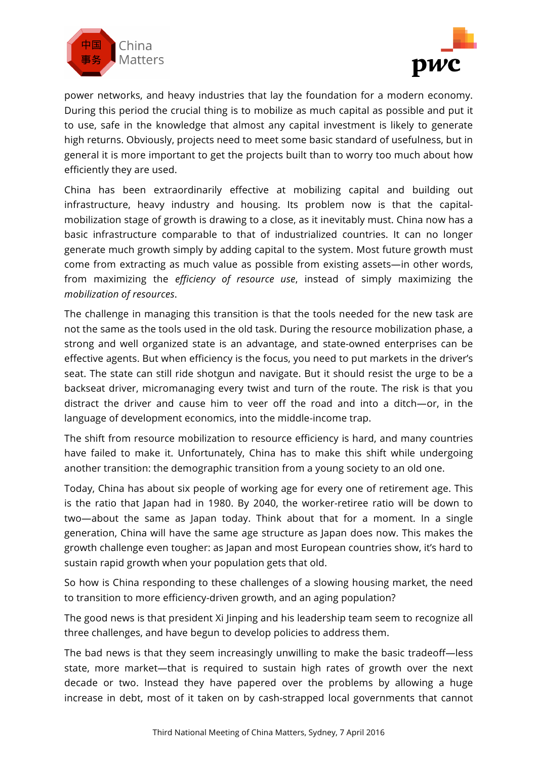



power networks, and heavy industries that lay the foundation for a modern economy. During this period the crucial thing is to mobilize as much capital as possible and put it to use, safe in the knowledge that almost any capital investment is likely to generate high returns. Obviously, projects need to meet some basic standard of usefulness, but in general it is more important to get the projects built than to worry too much about how efficiently they are used.

China has been extraordinarily effective at mobilizing capital and building out infrastructure, heavy industry and housing. Its problem now is that the capitalmobilization stage of growth is drawing to a close, as it inevitably must. China now has a basic infrastructure comparable to that of industrialized countries. It can no longer generate much growth simply by adding capital to the system. Most future growth must come from extracting as much value as possible from existing assets—in other words, from maximizing the *efficiency of resource use*, instead of simply maximizing the *mobilization of resources*.

The challenge in managing this transition is that the tools needed for the new task are not the same as the tools used in the old task. During the resource mobilization phase, a strong and well organized state is an advantage, and state-owned enterprises can be effective agents. But when efficiency is the focus, you need to put markets in the driver's seat. The state can still ride shotgun and navigate. But it should resist the urge to be a backseat driver, micromanaging every twist and turn of the route. The risk is that you distract the driver and cause him to veer off the road and into a ditch—or, in the language of development economics, into the middle-income trap.

The shift from resource mobilization to resource efficiency is hard, and many countries have failed to make it. Unfortunately, China has to make this shift while undergoing another transition: the demographic transition from a young society to an old one.

Today, China has about six people of working age for every one of retirement age. This is the ratio that Japan had in 1980. By 2040, the worker-retiree ratio will be down to two—about the same as Japan today. Think about that for a moment. In a single generation, China will have the same age structure as Japan does now. This makes the growth challenge even tougher: as Japan and most European countries show, it's hard to sustain rapid growth when your population gets that old.

So how is China responding to these challenges of a slowing housing market, the need to transition to more efficiency-driven growth, and an aging population?

The good news is that president Xi Jinping and his leadership team seem to recognize all three challenges, and have begun to develop policies to address them.

The bad news is that they seem increasingly unwilling to make the basic tradeoff—less state, more market—that is required to sustain high rates of growth over the next decade or two. Instead they have papered over the problems by allowing a huge increase in debt, most of it taken on by cash-strapped local governments that cannot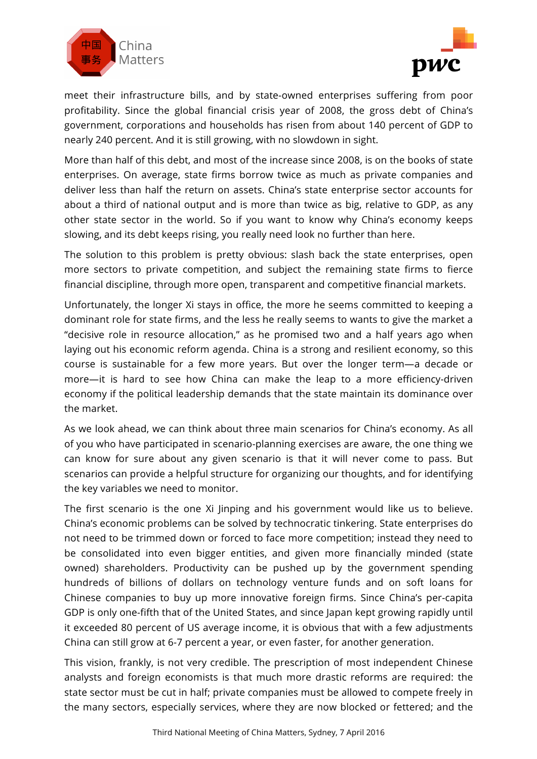



meet their infrastructure bills, and by state-owned enterprises suffering from poor profitability. Since the global financial crisis year of 2008, the gross debt of China's government, corporations and households has risen from about 140 percent of GDP to nearly 240 percent. And it is still growing, with no slowdown in sight.

More than half of this debt, and most of the increase since 2008, is on the books of state enterprises. On average, state firms borrow twice as much as private companies and deliver less than half the return on assets. China's state enterprise sector accounts for about a third of national output and is more than twice as big, relative to GDP, as any other state sector in the world. So if you want to know why China's economy keeps slowing, and its debt keeps rising, you really need look no further than here.

The solution to this problem is pretty obvious: slash back the state enterprises, open more sectors to private competition, and subject the remaining state firms to fierce financial discipline, through more open, transparent and competitive financial markets.

Unfortunately, the longer Xi stays in office, the more he seems committed to keeping a dominant role for state firms, and the less he really seems to wants to give the market a "decisive role in resource allocation," as he promised two and a half years ago when laying out his economic reform agenda. China is a strong and resilient economy, so this course is sustainable for a few more years. But over the longer term—a decade or more—it is hard to see how China can make the leap to a more efficiency-driven economy if the political leadership demands that the state maintain its dominance over the market.

As we look ahead, we can think about three main scenarios for China's economy. As all of you who have participated in scenario-planning exercises are aware, the one thing we can know for sure about any given scenario is that it will never come to pass. But scenarios can provide a helpful structure for organizing our thoughts, and for identifying the key variables we need to monitor.

The first scenario is the one Xi Jinping and his government would like us to believe. China's economic problems can be solved by technocratic tinkering. State enterprises do not need to be trimmed down or forced to face more competition; instead they need to be consolidated into even bigger entities, and given more financially minded (state owned) shareholders. Productivity can be pushed up by the government spending hundreds of billions of dollars on technology venture funds and on soft loans for Chinese companies to buy up more innovative foreign firms. Since China's per-capita GDP is only one-fifth that of the United States, and since Japan kept growing rapidly until it exceeded 80 percent of US average income, it is obvious that with a few adjustments China can still grow at 6-7 percent a year, or even faster, for another generation.

This vision, frankly, is not very credible. The prescription of most independent Chinese analysts and foreign economists is that much more drastic reforms are required: the state sector must be cut in half; private companies must be allowed to compete freely in the many sectors, especially services, where they are now blocked or fettered; and the